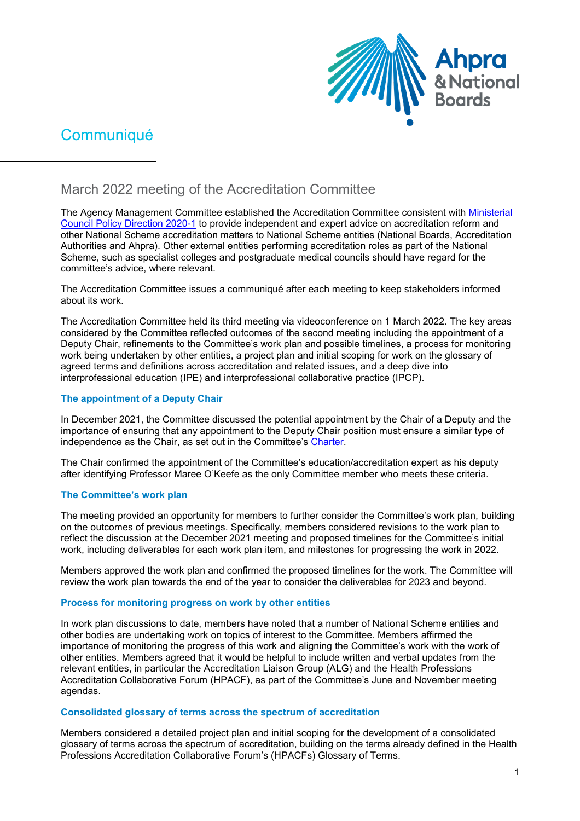

# **Communiqué**

## March 2022 meeting of the Accreditation Committee

The Agency Management Committee established the Accreditation Committee consistent with [Ministerial](https://www.ahpra.gov.au/documents/default.aspx?record=WD21%2f30743&dbid=AP&chksum=vM%2bbioO3j3FfDjp14zP3wQ%3d%3d)  [Council Policy Direction 2020-1](https://www.ahpra.gov.au/documents/default.aspx?record=WD21%2f30743&dbid=AP&chksum=vM%2bbioO3j3FfDjp14zP3wQ%3d%3d) to provide independent and expert advice on accreditation reform and other National Scheme accreditation matters to National Scheme entities (National Boards, Accreditation Authorities and Ahpra). Other external entities performing accreditation roles as part of the National Scheme, such as specialist colleges and postgraduate medical councils should have regard for the committee's advice, where relevant.

The Accreditation Committee issues a communiqué after each meeting to keep stakeholders informed about its work.

The Accreditation Committee held its third meeting via videoconference on 1 March 2022. The key areas considered by the Committee reflected outcomes of the second meeting including the appointment of a Deputy Chair, refinements to the Committee's work plan and possible timelines, a process for monitoring work being undertaken by other entities, a project plan and initial scoping for work on the glossary of agreed terms and definitions across accreditation and related issues, and a deep dive into interprofessional education (IPE) and interprofessional collaborative practice (IPCP).

## **The appointment of a Deputy Chair**

In December 2021, the Committee discussed the potential appointment by the Chair of a Deputy and the importance of ensuring that any appointment to the Deputy Chair position must ensure a similar type of independence as the Chair, as set out in the Committee's [Charter.](https://www.ahpra.gov.au/documents/default.aspx?record=WD21%2f31083&dbid=AP&chksum=VaZ%2blKxeujtlaQPYBCkvBA%3d%3d)

The Chair confirmed the appointment of the Committee's education/accreditation expert as his deputy after identifying Professor Maree O'Keefe as the only Committee member who meets these criteria.

## **The Committee's work plan**

The meeting provided an opportunity for members to further consider the Committee's work plan, building on the outcomes of previous meetings. Specifically, members considered revisions to the work plan to reflect the discussion at the December 2021 meeting and proposed timelines for the Committee's initial work, including deliverables for each work plan item, and milestones for progressing the work in 2022.

Members approved the work plan and confirmed the proposed timelines for the work. The Committee will review the work plan towards the end of the year to consider the deliverables for 2023 and beyond.

## **Process for monitoring progress on work by other entities**

In work plan discussions to date, members have noted that a number of National Scheme entities and other bodies are undertaking work on topics of interest to the Committee. Members affirmed the importance of monitoring the progress of this work and aligning the Committee's work with the work of other entities. Members agreed that it would be helpful to include written and verbal updates from the relevant entities, in particular the Accreditation Liaison Group (ALG) and the Health Professions Accreditation Collaborative Forum (HPACF), as part of the Committee's June and November meeting agendas.

## **Consolidated glossary of terms across the spectrum of accreditation**

Members considered a detailed project plan and initial scoping for the development of a consolidated glossary of terms across the spectrum of accreditation, building on the terms already defined in the Health Professions Accreditation Collaborative Forum's (HPACFs) Glossary of Terms.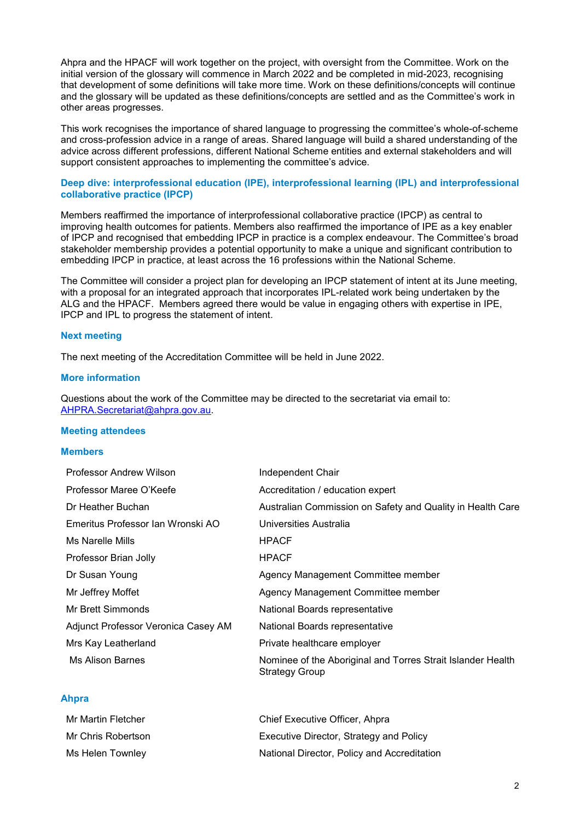Ahpra and the HPACF will work together on the project, with oversight from the Committee. Work on the initial version of the glossary will commence in March 2022 and be completed in mid-2023, recognising that development of some definitions will take more time. Work on these definitions/concepts will continue and the glossary will be updated as these definitions/concepts are settled and as the Committee's work in other areas progresses.

This work recognises the importance of shared language to progressing the committee's whole-of-scheme and cross-profession advice in a range of areas. Shared language will build a shared understanding of the advice across different professions, different National Scheme entities and external stakeholders and will support consistent approaches to implementing the committee's advice.

#### **Deep dive: interprofessional education (IPE), interprofessional learning (IPL) and interprofessional collaborative practice (IPCP)**

Members reaffirmed the importance of interprofessional collaborative practice (IPCP) as central to improving health outcomes for patients. Members also reaffirmed the importance of IPE as a key enabler of IPCP and recognised that embedding IPCP in practice is a complex endeavour. The Committee's broad stakeholder membership provides a potential opportunity to make a unique and significant contribution to embedding IPCP in practice, at least across the 16 professions within the National Scheme.

The Committee will consider a project plan for developing an IPCP statement of intent at its June meeting, with a proposal for an integrated approach that incorporates IPL-related work being undertaken by the ALG and the HPACF. Members agreed there would be value in engaging others with expertise in IPE, IPCP and IPL to progress the statement of intent.

#### **Next meeting**

The next meeting of the Accreditation Committee will be held in June 2022.

#### **More information**

Questions about the work of the Committee may be directed to the secretariat via email to: [AHPRA.Secretariat@ahpra.gov.au.](mailto:AHPRA.Secretariat@ahpra.gov.au)

#### **Meeting attendees**

#### **Members**

| Professor Andrew Wilson             | Independent Chair                                                                    |
|-------------------------------------|--------------------------------------------------------------------------------------|
| Professor Maree O'Keefe             | Accreditation / education expert                                                     |
| Dr Heather Buchan                   | Australian Commission on Safety and Quality in Health Care                           |
| Emeritus Professor Ian Wronski AO   | Universities Australia                                                               |
| Ms Narelle Mills                    | <b>HPACF</b>                                                                         |
| Professor Brian Jolly               | <b>HPACF</b>                                                                         |
| Dr Susan Young                      | Agency Management Committee member                                                   |
| Mr Jeffrey Moffet                   | Agency Management Committee member                                                   |
| Mr Brett Simmonds                   | National Boards representative                                                       |
| Adjunct Professor Veronica Casey AM | National Boards representative                                                       |
| Mrs Kay Leatherland                 | Private healthcare employer                                                          |
| <b>Ms Alison Barnes</b>             | Nominee of the Aboriginal and Torres Strait Islander Health<br><b>Strategy Group</b> |

### **Ahpra**

| Mr Martin Fletcher | Chief Executive Officer, Ahpra              |
|--------------------|---------------------------------------------|
| Mr Chris Robertson | Executive Director, Strategy and Policy     |
| Ms Helen Townley   | National Director, Policy and Accreditation |